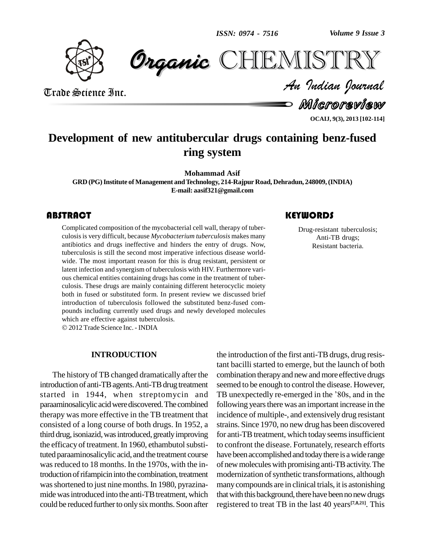*Volume 9 Issue 3*

**CHEMISTRY** 



Trade Science Inc. Trade Science Inc.

Microreview *Indian Journal*

**OCAIJ, 9(3), 2013 [102-114]**

#### **Development of new antitubercular drugs containing benz-fused ring system**

**Mohammad Asif**

**GRD (PG)Institute of Management andTechnology, 214-Rajpur Road, Dehradun, 248009,(INDIA) E-mail: [aasif321@gmail.com](mailto:aasif321@gmail.com)**

#### **ABSTRACT**

Complicated composition<br>culosis is very difficult,<br>antibiotics and drugs is Complicated composition of the mycobacterial cell wall, therapy of tuber culosisis very difficult, because *Mycobacterium tuberculosis* makes many antibiotics and drugs ineffective and hinders the entry of drugs. Now, tuberculosis is still the second most imperative infectious disease world wide. The most important reason for this is drug resistant, persistent or latent infection and synergism of tuberculosis with HIV. Furthermore vari ous chemical entities containing drugs has come in the treatment of tuber culosis. These drugs are mainly containing different heterocyclic moiety both in fused or substituted form. In present review we discussed brief introduction of tuberculosis followed the substituted benz-fused compounds including currently used drugs and newly developed molecules which are effective against tuberculosis. 2012Trade Science Inc. - INDIA

#### **INTRODUCTION**

The history of TB changed dramatically after the introduction of anti-TB agents. Anti-TB drug treatment started in 1944, when streptomycin and TB unexpectedly re-emerged in the '80s, and in the paraaminosalicylic acid were discovered. The combined therapy was more effective in the TB treatment that consisted of a long course of both drugs. In 1952, a third drug, isoniazid, was introduced, greatly improving the efficacy of treatment. In 1960, ethambutol substituted paraaminosalicylic acid, and the treatment course was reduced to 18 months. In the 1970s, with the introduction of rifampicin into the combination, treatment was shortened to just nine months. In 1980, pyrazinamide was introduced into the anti-TB treatment, which could be reduced further to only six months. Soon after

## **KEYWORDS**

Drug-resistant tubercu<br>Anti-TB drugs;<br>Resistant bacteria. Drug-resistant tuberculosis; Anti-TB drugs; Resistant bacteria.

the introduction of the first anti-TBdrugs, drug resistant bacilli started to emerge, but the launch of both combination therapy and new and more effective drugs seemed to be enough to control the disease. However, combination therapy and new and more effective drugs<br>seemed to be enough to control the disease. However,<br>TB unexpectedly re-emerged in the '80s, and in the following years there was an important increase in the incidence of multiple-, and extensively drug resistant strains. Since 1970, no new drug has been discovered for anti-TB treatment, which today seems insufficient to confront the disease. Fortunately, research efforts have been accomplished and today there is a wide range of newmoleculeswith promising anti-TBactivity.The modernization of synthetic transformations, although manycompounds are in clinical trials, it is astonishing that with this background, there have been no new drugs registered to treat TB in the last 40 years **[7,8,21]**. This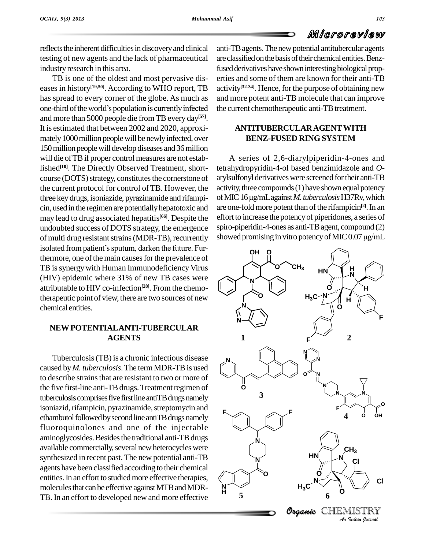reflects the inherent difficulties in discovery and clinical testing of new agents and the lack of pharmaceutical industry research in this area.

TB is one of the oldest and most pervasive dis eases in history<sup>[19,50]</sup>. According to WHO report, TB activity<sup>[32-1</sup> has spread to every corner of the globe. As much as and more one-third of the world's population is currently infected the current has spread to every corner of the globe. As much as and more than 5000 people die from TB every day<sup>[57]</sup>. It is estimated that between 2002 and 2020, approxi mately 1000 million people will be newly infected, over 150 million people will develop diseases and 36 million will die of TB if proper control measures are not established<sup>[10]</sup>. The Directly Observed Treatment, short- tetra course (DOTS) strategy, constitutes the cornerstone of the current protocol for control of TB. However, the three key drugs, isoniazide, pyrazinamide and rifampi- of MIC 16 µg/mL against M. tuberculosis H37Rv, which cin, used in the regimen are potentiallyhepatotoxic and may lead to drug associated hepatitis **[66]**. Despite the undoubted success of DOTS strategy, the emergence spiro-<br>of multi drug resistant strains (MDR-TB), recurrently showe<br>isolated from patient's sputum, darken the future. Furof multi drug resistant strains (MDR-TB), recurrently showed promising in vitro potency of MIC 0.07  $\mu$ g/mL thermore, one of the main causes for the prevalence of TB is synergy with Human Immunodeficiency Virus (HIV) epidemic where 31% of new TB cases were attributable to HIV co-infection **[28]**. From the chemotherapeutic point of view, there are two sources of new chemical entities.

#### **NEWPOTENTIALANTI-TUBERCULAR AGENTS**

Tuberculosis(TB) is a chronic infectious disease caused by*M. tuberculosis*.The termMDR-TBis used to describe strains that are resistant to two or more of the five first-line anti-TB drugs. Treatment regimen of tuberculosis comprises five first line antiTB drugs namely isoniazid, rifampicin, pyrazinamide, streptomycin and ethambutol followed by second line antiTB drugs namely fluoroquinolones and one of the injectable aminoglycosides. Besides the traditional anti-TB drugs available commercially, several new heterocycles were synthesized in recent past. The new potential anti-TB agents have been classified according to their chemical entities. In an effort to studied more effective therapies, molecules that can be effective against MTB and MDR-TB. In an effort to developed new and more effective

anti-TBagents.Thenewpotential antitubercular agents are classified on the basis of their chemical entities. Benzfused derivatives have shown interesting biological properties and some of them are known for their anti-TB activity<sup>[32-34]</sup>. Hence, for the purpose of obtaining new and more potent anti-TB molecule that can improve the current chemotherapeutic anti-TB treatment.

#### **ANTITUBERCULARAGENTWITH BENZ-FUSED RINGSYSTEM**

A series of 2,6-diarylpiperidin-4-ones and tetrahydropyridin-4-ol based benzimidazole and *O* arylsulfonyl derivatives were screened for their anti-TB activity, three compounds (1) have shown equal potency arylsulfonyl derivatives were screened for their anti-TB<br>activity, three compounds (1) have shown equal potency<br>of MIC 16 µg/mL against *M. tuberculosis* H37Rv, which are one-fold more potent than of the rifampicin<sup>[2]</sup>. In an effort to increase the potency of piperidones, a series of<br>spiro-piperidin-4-ones as anti-TB agent, compound (2)<br>showed promising in vitro potency of MIC 0.07  $\mu g/mL$ spiro-piperidin-4-ones as anti-TB agent, compound (2)

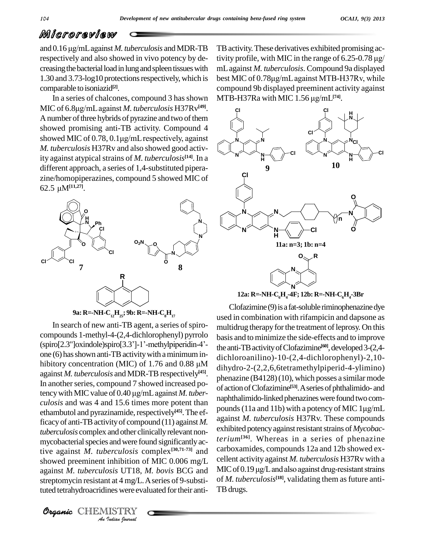and 0.16  $\mu$ g/mL against *M. tuberculosis* and MDR-TB respectively and also showed in vivo potency by de creasing the bacterial load in lung and spleen tissues with 1.30 and 3.73-log10 protections respectively, which is comparable to isoniazid **[2]**.

In a series of chalcones, compound 3 has shown comparable to isoniazid<sup>[2]</sup>. Compound 3 has shown MT In a series of chalcones, compound 3 has shown MT MIC of 6.8µg/mL against *M. tuberculosis* H37Rv<sup>[49]</sup>. A number of three hybrids of pyrazine and two of them showed promising anti-TB activity. Compound 4 showed MIC of  $0.78$ ,  $0.1\mu$ g/mL respectively, against *M. tuberculosis* H37Rv and also showed good activity against atypical strains of *M. tuberculosis*<sup>[14]</sup>. In a different approach, a series of 1,4-substituted pipera-<br>zine/homopiperazines, compound 5 showed MIC of<br>62.5  $\mu$ M<sup>[11,27]</sup>. zine/homopiperazines, compound 5 showed MIC of



**9a: R=-NH-C12H25; 9b: R=-NH-C8H<sup>17</sup>**

showed preeminent inhibition of MIC 0.006 mg/L cellent ac *Inhibition of*<br>*Insis UT18, 1*<br>*Insis were eva*<br>*IISTRY*<br>*Indian Iournal* In search of new anti-TB agent, a series of spirocompounds 1-methyl-4- $(2,4$ -dichlorophenyl) pyrrolo basis at In search of new anti-TB agent, a series of spiro-<br>compounds 1-methyl-4-(2,4-dichlorophenyl) pyrrolo<br>(spiro[2.3"]oxindole)spiro[3.3"]-1'-methylpiperidin-4'-<br>the: one (6) has shown anti-TB activity with a minimum in-(spiro[2.3"]oxindole)spiro[3.3"]-1'-methylpiperidin-4'-<br>one (6) has shown anti-TB activity with a minimum in-<br>hibitory concentration (MIC) of 1.76 and 0.88  $\mu$ M<br>dibydro 2.02 against *M. tuberculosis* and MDR-TB respectively<sup>[45]</sup>. In another series, compound 7 showed increased po-<br>tency with MIC value of 0.40 µg/mL against *M. tuber-*In another series, compound 7 showed increased poethambutol and pyrazinamide, respectively<sup>[45]</sup>. The efficacyof anti-TBactivityof compound (11) against *M.* tuberculosis complex and other clinically relevant nonmycobacterial species and were found significantly active against *M. tuberculosis* complex **[30,71-73]** and against *M. tuberculosis* UT18, *M. bovis* BCG and streptomycin resistant at 4 mg/L. A series of 9-substituted tetrahydroacridines were evaluated for their anti-

TBactivity.These derivatives exhibited promising activity profile, with MIC in the range of  $6.25$ -0.78  $\mu$ g/ mLagainst *M. tuberculosis*. Compound 9a displayed best MIC of 0.78µg/mL against MTB-H37Rv, while compound 9b displayed preeminent activity against best MIC of 0.78µg/mL against MTB-H37Rv, w<br>compound 9b displayed preeminent activity ag:<br>MTB-H37Ra with MIC 1.56 µg/mL<sup>[74]</sup>. MTB-H37Ra with MIC 1.56 µg/mL<sup>[74]</sup>.



**12a: R=-NH-C6H4-4F; 12b: R=-NH-C6H4-3Br**

*culosis* and was 4 and 15.6 times more potent than<br>repounds (11a and 11b) with a potency of MIC 1µg/mL Clofazimine (9) is a fat-soluble riminophenazine dye used in combination with rifampicin and dapsone as multidrug therapy for the treatment of leprosy. On this basis and to minimize the side-effects and to improve the anti-TB activity of Clofazimine<sup>[60]</sup>, developed 3-(2,4dichloroanilino)-10-(2,4-dichlorophenyl)-2,10 dihydro-2-(2,2,6,6tetramethylpiperid-4-ylimino) phenazine  $(B4128)(10)$ , which posses a similar mode of action of Clofazimine<sup>[53]</sup>. A series of phthalimido- and<br>naphthalimido-linked phenazines were found two com-<br>pounds (11a and 11b) with a potency of MIC 1µg/mL naphthalimido-linked phenazines were found two comagainst *M. tuberculosis* H37Rv. These compounds exhibited potency against resistant strains of *Mycobacterium***[36]**. Whereas in a series of phenazine carboxamides, compounds 12a and 12b showed ex-<br>cellent activity against *M. tuberculosis* H37Rv with a<br>MIC of 0.19 µg/L and also against drug-resistant strains cellent activity against *M. tuberculosis* H37Rv with a of *M. tuberculosis*<sup>[18]</sup>, validating them as future anti-TBdrugs.

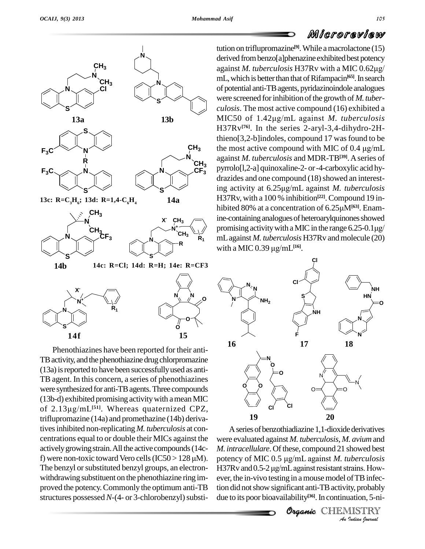

Phenothiazines have been reported for their anti- TB activity, and the phenothiazine drug chlorpromazine (13a)isreported to have been successfullyused as anti- TB agent. In this concern, a series of phenothiazines were synthesized for anti-TBagents.Three compounds (13b-d) exhibited promising activitywith ameanMIC were synthesized for anti-TB agents. Three compounds<br>(13b-d) exhibited promising activity with a mean MIC<br>of 2.13µg/mL<sup>[51]</sup>. Whereas quaternized CPZ, triflupromazine (14a) and promethazine (14b) derivatives inhibited non-replicating *M. tuberculosis* at concentrations equal to or double their MICs against the were actively growing strain. All the active compounds (14c- *M. int* f) were non-toxic toward Vero cells (IC50 > 128  $\mu$ M). poten actively growing strain. All the active compounds (14c-The benzyl or substituted benzyl groups, an electron-<br>H37Rv and 0.5-2 µg/mL against resistant strains. Howwithdrawing substituent on the phenothiazine ring im proved the potency.Commonly the optimum anti-TB structures possessed *N*-(4- or 3-chlorobenzyl) substi-

tution on triflupromazine **[9]**.While amacrolactone (15) derived from benzo[a]phenazine exhibited best potency against *M. tuberculosis* H37Rv with a MIC 0.62µg/ mL, which is better than that of Rifampacin<sup>[65]</sup>. In search of potential anti-TBagents, pyridazinoindole analogues were screened for inhibition of the growth of *M. tuberculosis*. The most active compound (16) exhibited a were screened for inhibition of the growth of *M. tuber-*<br>*culosis*. The most active compound (16) exhibited a<br>MIC50 of 1.42µg/mL against *M. tuberculosis* H37Rv<sup>[76]</sup>. In the series 2-aryl-3,4-dihydro-2H-<br>thieno[3,2-b]indoles, compound 17 was found to be<br>the most active compound with MIC of 0.4 µg/mL thieno $[3,2-b]$  indoles, compound 17 was found to be  $N_{\text{rel}}$  against *M. tuberculosis* and MDR-TB<sup>[39]</sup>. A series of pyrrolo[l,2-a] quinoxaline-2- or-4-carboxylic acid hy drazides and one compound (18) showed an interestpyrrolo[1,2-a] quinoxaline-2- or -4-carboxylic acid hy-<br>drazides and one compound (18) showed an interest-<br>ing activity at 6.25µg/mL against *M. tuberculosis* H37Rv, with a 100 % inhibition<sup>[22]</sup>. Compound 19 ining activity at 6.25µg/mL against *M. tuberculosis*<br>H37Rv, with a 100 % inhibition<sup>[22]</sup>. Compound 19 in-<br>hibited 80% at a concentration of 6.25µM<sup>[63]</sup>. Enamine-containing analogues of heteroarylquinones showed hibited 80% at a concentration of 6.25µM<sup>[63]</sup>. Enam-<br>ine-containing analogues of heteroarylquinones showed<br>promising activity with a MIC in the range 6.25-0.1µg/ mLagainst *M. tuberculosis* H37Rv andmolecule (20) **R<sup>1</sup>** promising activity with a MIC in the <mark>mL</mark> against *M. tuberculosis* H37Rv a<br>with a MIC 0.39 µg/mL<sup>[16]</sup>. with a MIC  $0.39 \mu g/mL$ <sup>[16]</sup>.  $\mu$ <sub>3</sub> the most active compound with MIC of 0.4  $\mu$ g/mL



**l**eg/mL against *M*. *t Indercutosis*<br> *Index*<br> *Infecty, probably*<br> *Indian Journal*<br> *Indian Iournal* A series of benzothiadiazine 1,1-dioxide derivatives were evaluated against *M. tuberculosis*, *M. avium* and *M. intracellulare*.Ofthese, compound 21 showed best were evaluated against *M. tuberculosis, M. avium* and<br>*M. intracellulare.* Of these, compound 21 showed best<br>potency of MIC 0.5 µg/mL against *M. tuberculosis M. intracellulare.* Of these, compound 21 showed best<br>potency of MIC 0.5 µg/mL against *M. tuberculosis*<br>H37Rv and 0.5-2 µg/mL against resistant strains. However, the in-vivo testing in a mouse model of TB infection did notshowsignificant anti-TBactivity, probably due to its poor bioavailability **[36]**.In continuation, 5-ni-

Organic CHEMISTRY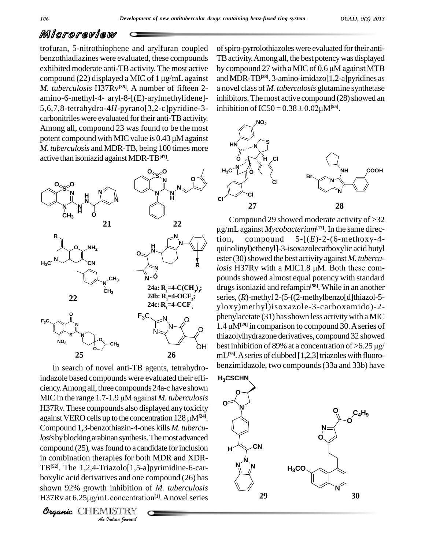trofuran, 5-nitrothiophene and arylfuran coupled benzothiadiazines were evaluated, these compounds exhibited moderate anti-TB activity. The most active by con benzothiadiazines were evaluated, these compounds TE<br>exhibited moderate anti-TB activity. The most active by<br>compound (22) displayed a MIC of 1 µg/mL against and *M. tuberculosis* H37Rv<sup>[35]</sup>. A number of fifteen 2- ano amino-6-methyl-4- aryl-8-[(E)-arylmethylidene]- 5,6,7,8-tetrahydro-4H-pyrano[3,2-c]pyridine-3- inhibition of  $\text{IC}50 = 0.38 \pm 0.02 \mu\text{M}^{55}$ . carbonitriles were evaluated for their anti-TB activity. Among all, compound 23 was found to be the most carbonitriles were evaluated for their anti-TB activity.<br>Among all, compound 23 was found to be the most<br>potent compound with MIC value is  $0.43 \mu$ M against *M. tuberculosis* and MDR-TB, being 100 times more active than isoniazid against MDR-TB**[47]**.



in combination therapies for both MDR and XDR-*Indiana*<br>*Indiana Indiana*<br>*Inhibition*<br>*I* concentration<br>*IISTRY*<br>*Indian Iournal* In search of novel anti-TB agents, tetrahydroindazole based compounds were evaluated their effi ciency.Among all,three compounds 24a-c have shown indazole based compounds were evaluated their effi-<br>ciency. Among all, three compounds 24a-c have shown<br>MIC in the range 1.7-1.9 µM against *M. tuberculosis* H37Rv. These compounds also displayed any toxicity MIC in the range 1.7-1.9 µM against *M. tuberculosis*<br>H37Rv. These compounds also displayed any toxicity<br>against VERO cells up to the concentration 128 µM<sup>[24]</sup>. Compound 1,3-benzothiazin-4-ones kills *M. tubercu*losis by blocking arabinan synthesis. The most advanced compound (25), was found to a candidate for inclusion  $\mathbf{H}$ TB**[52]**. The 1,2,4-Triazolo[1,5-a]pyrimidine-6-car boxylic acid derivatives and one compound (26) has shown 92% growth inhibition of*M. tuberculosis* boxylic acid derivatives and one compound (<br>shown 92% growth inhibition of *M. tuber*<br>H37Rv at 6.25µg/mL concentration<sup>[1]</sup>. A nove H37Rv at 6.25µg/mL concentration<sup>[1]</sup>. A novel series

Organic CHEMISTRY

ofspiro-pyrrolothiazoles were evaluated fortheir anti- TBactivity.Among all, the best potencywas displayed by compound 27 with a MIC of  $0.6 \mu$ M against MTB and MDR-TB**[38]**. 3-amino-imidazo[1,2-a]pyridines as a novel class of *M. tuberculosis* glutamine synthetase inhibitors. The most active compound (28) showed an a novel class of *M. tuberculosis* glutamine s<br>inhibitors. The most active compound (28) sl<br>inhibition of IC50 = 0.38 ± 0.02µM<sup>[55]</sup>.



losis H37Rv with a MIC1.8 µM. Both these com- $F_3C \searrow N$  O phenylacetate (31) has shown less activity with a MIC OH best inhibition of 89% at a concentration of  $>6.25 \mu$ g/  $\mu$  1.4  $\mu$ M<sup>[29]</sup> in comparison to compound 30. A series of<br>thiazolylhydrazone derivatives, compound 32 showed<br>best inhibition of 89% at a concentration of >6.25  $\mu$ g/ Compound 29 showed moderate activity of >32 28<br>mpound 29 showed moderate activity of >32<br>against *Mycobacterium*<sup>[17]</sup>. In the same direction, compound  $5-[E]-2-(6-methoxy-4$ quinolinyl)ethenyl]-3-isoxazolecarboxylic acid butyl<br>ester (30) showed the best activity against *M. tubercu-*<br>*losis* H37Rv with a MIC1.8 µM. Both these comester (30) showed the best activity against *M. tubercu*pounds showed almost equal potency with standard drugs isoniazid and refampin<sup>[58]</sup>. While in an another series, (R)-methyl 2-(5-((2-methylbenzo[d]thiazol-5yloxy)methyl)isoxazole-3-carboxamido)-2 yloxy)methyl)isoxazole-3-carboxamido)-2-<br>phenylacetate (31) has shown less activity with a MIC<br>1.4 µM<sup>[29]</sup> in comparison to compound 30. A series of thiazolylhydrazone derivatives, compound 32 showed mL<sup>[75]</sup>. A series of clubbed [1,2,3] triazoles with fluorobenzimidazole, two compounds(33a and 33b) have

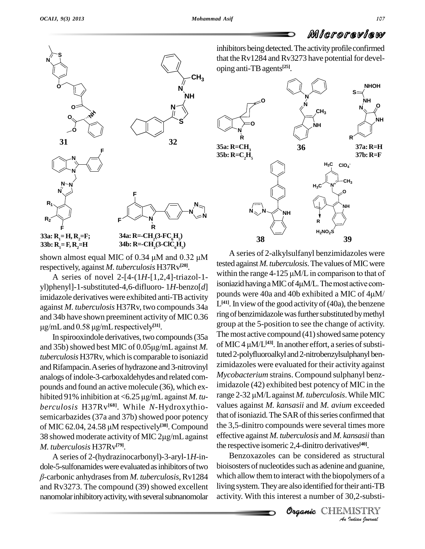

respectively, against *M. tuberculosis* H37Rv **[20]**.

yl)phenyl]-1-substituted-4,6-difluoro- 1*H*-benzo[*d*] imidazole derivatives were exhibited anti-TB activity against *M. tuberculosis* H37Rv, two compounds 34a  $\frac{L^{(41)} \cdot R}{L^{(43)} \cdot R}$  and 34b have shown preeminent activity of MIC 0.36  $\frac{1}{2}$  ring of ug/mL and 0.58 ug/mL respectively<sup>[31]</sup>. and 34b have shown preeminent activity of MIC 0.36  $\mu$ g/mL and 0.58  $\mu$ g/mL respectively<sup>[31]</sup>.

In spirooxindole derivatives, two compounds (35a and 35b) showed best MIC of  $0.05\mu$ g/mL against *M*. *tuberculosis* H37Rv, which iscomparable to isoniazid and Rifampacin. A series of hydrazone and 3-nitrovinyl analogs of indole-3-carboxaldehydes and related com-<br>pounds and found an active molecule (36), which ex-<br>hibited 91% inhibition at <6.25 µg/mL against *M. tu*pounds and found an active molecule (36), which ex *berculosis* H37Rv<sup>[68]</sup>. While *N*-Hydroxythio- valus semicarbazides (37a and 37b) showed poor potency that of MIC 62.04, 24.58 μM respectively<sup>[38]</sup>. Compound the semicarbazides (37a and 37b) showed poor potency that of i<br>of MIC 62.04, 24.58 μM respectively<sup>[38]</sup>. Compound the 3,5<br>38 showed moderate activity of MIC 2μg/mL against effectively of MIC 62.04, 24.58 µM respectively<sup>[38]</sup>. Compound *M. tuberculosis* H37Rv **[79]**.

A seriesof 2-(hydrazinocarbonyl)-3-aryl-1*H*-in dole-5-sulfonamides were evaluated as inhibitors of two -carbonic anhydrasesfrom *M. tuberculosis*,Rv1284 and Rv3273. The compound (39) showed excellent nanomolar inhibitory activity, with several subnanomolar inhibitors being detected. The activity profile confirmed that the Rv1284 and Rv3273 have potential for developing anti-TBagents **[25]**.



A series of novel 2-[4-(1*H*-[1,2,4]-triazol-1-<br>soniazid having a MIC of 4 $\mu$ M/L. The most active com-<br>hanyll 1 substituted 4.6 diffuore 1H benzol disoniazid having a MIC of 4 $\mu$ M/L. The most active com-A series of 2-alkylsulfanyl benzimidazoles were tested against *M. tuberculosis*. The values of MIC were A series of 2-alkylsulfanyl benzimidazoles were<br>tested against *M. tuberculosis*. The values of MIC were<br>within the range  $4-125 \mu M/L$  in comparison to that of tested against *M. tuberculosis*. The values of MIC were<br>within the range  $4-125 \mu M/L$  in comparison to that of<br>isoniazid having a MIC of  $4\mu M/L$ . The most active compounds were 40a and 40b exhibited a MIC of  $4\mu$ M/ L<sup>[41]</sup>. In view of the good activity of (40a), the benzene ring of benzimidazole was further substituted by methyl group at the 5-position to see the change of activity. The most active compound  $(41)$  showed same potency group at the 5-position to see the change of activity.<br>The most active compound (41) showed same potency<br>of MIC 4 μM/L<sup>[43]</sup>. In another effort, a series of substituted 2-polyfluoroalkyl and 2-nitrobenzylsulphanyl benzimidazoles were evaluated for their activity against *Mycobacterium* strains. Compound sulphanyl benzimidazole (42) exhibited best potency of MIC in the Mycobacterium strains. Compound sulphanyl benz-<br>imidazole (42) exhibited best potency of MIC in the<br>range 2-32 µM/L against *M. tuberculosis.* While MIC values against *M. kansasii* and *M. avium* exceeded that of isoniazid. The SAR of this series confirmed that the 3,5-dinitro compounds were several times more effective against *M. tuberculosis* and *M. kansasii* than the respective isomeric 2,4-dinitro derivatives **[40]**.

> **DELEOXALUES** CALL BE CONSIDERED AS SUBDINERIES And *Propertional Bushing system.* They are also identified for their anti-TB activity. With this interest a number of 30,2-substi-<br> **Organic** CHEMISTRY Benzoxazoles can be considered as structural which allow themto interact with the biopolymers of a living system. They are also identified for their anti-TB activity. With this interest a number of 30,2-substi-

Organic CHEMISTRY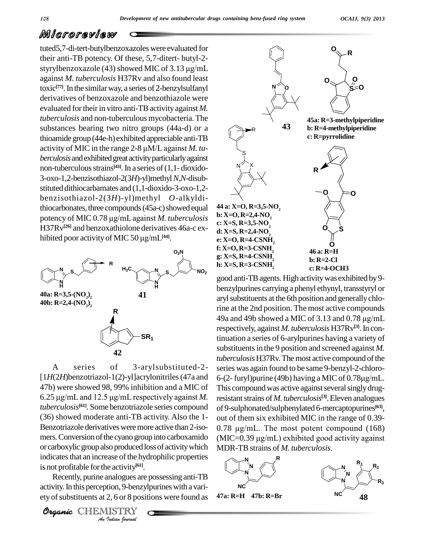tuted5,7-di-tert-butylbenzoxazoles were evaluated for their anti-TB potency. Of these, 5,7-ditert- butyl-2 styrylbenzoxazole (43) showed MIC of  $3.13 \mu$ g/mL against *M. tuberculosis* H37Rv and also found least toxic<sup>[77]</sup>. In the similar way, a series of 2-benzylsulfanyl derivatives of benzoxazole and benzothiazole were evaluated for their in vitro anti-TB activity against *M*. *tuberculosis* and non-tuberculous mycobacteria.The substances bearing two nitro groups (44a-d) or a thioamide group (44e-h) exhibited appreciable anti-TB activity of MIC in the range 2-8  $\mu$ M/L against *M. tuberculosis* and exhibited great activity particularly against non-tuberculous strains<sup>[43]</sup>. In a series of (1,1- dioxido-3-oxo-1,2-benzisothiazol-2(3*H*)-yl)methyl*N*,*N*-disub stituted dithiocarbamates and (1,1-dioxido-3-oxo-1,2 benzisothiazol-2(3*H*)-yl)methyl *O*-alkyldithiocarbonates, three compounds  $(45a-c)$  showed equal  $44$ benzisothiazol-2(3*H*)-yl)methyl *O*-alkyldi-<br>thiocarbonates, three compounds (45a-c) showed equal 44 a:<br>potency of MIC 0.78  $\mu$ g/mL against *M. tuberculosis* H37Rv<sup>[26]</sup> and benzoxathiolone derivatives 46a-c expotency of MIC  $0.78 \mu g/mL$  against *M. tuberculosis* hibited poor activity of MIC 50  $\mu$ g/mL<sup>[44]</sup>.



*Analizates that an increase of the hydrophilic properties* A series of 3-arylsubstituted-2-  $[1H(2H)$ benzotriazol-1(2)-yl]acrylonitriles (47a and 6-(2-furyl)purine (49b) having a MIC of 0.78 $\mu$ g/mL. 47b) were showed 98, 99% inhibition and a MIC of 6.25  $\mu$ g/mL and 12.5  $\mu$ g/mL respectively against *M*. *tuberculosis* **[61]**. Some benzotriazole series compound (36) showed moderate anti-TB activity. Also the 1- Benzotriazole derivatives were more active than 2-isomers. Conversion of the cyano group into carboxamido or carboxylic group also produced loss of activity which is not profitable forthe activity **[61]**.

*Indiana*<br> *Indiana*<br> *Indiana*<br> *I I*s and *I*s and *Indian hournal*<br> *I Indian hournal* Recently, purine analogues are possessing anti-TB activity. In this perception, 9-benzylpurines with a variety of substituents at  $2, 6$  or 8 positions were found as

Organic CHEMISTRY



good anti-TB agents. High activity was exhibited by 9benzylpurines carrying a phenyl ethynyl, transstyryl or aryl substituents at the 6th position and generally chlorine at the 2nd position. The most active compounds aryl substituents at the 6th position and generally chlo-<br>rine at the 2nd position. The most active compounds<br>49a and 49b showed a MIC of 3.13 and 0.78  $\mu$ g/mL respectively, against *M. tuberculosis* H37Rv **[3]**.In continuation a series of 6-arylpurines having a variety of substituents in the 9 position and screened against *M*. *tuberculosis* H37Rv. The most active compound of the<br>series was again found to be same 9-benzyl-2-chloro-<br>6-(2- furyl)purine (49b) having a MIC of 0.78 $\mu$ g/mL. series was again found to be same 9-benzyl-2-chloro- This compound was active against several singly drugresistant strains of *M. tuberculosis*<sup>[3]</sup>. Eleven analogues of 9-sulphonated/sulphenylated 6-mercaptopurines<sup>[63]</sup>,<br>out of them six exhibited MIC in the range of 0.39-<br>0.78 µg/mL. The most potent compound (168) out of them six exhibited MIC in the range of 0.39- 0.78  $\mu$ g/mL. The most potent compound (168)<br>(MIC=0.39  $\mu$ g/mL) exhibited good activity against MDR-TBstrains of *M. tuberculosis*.

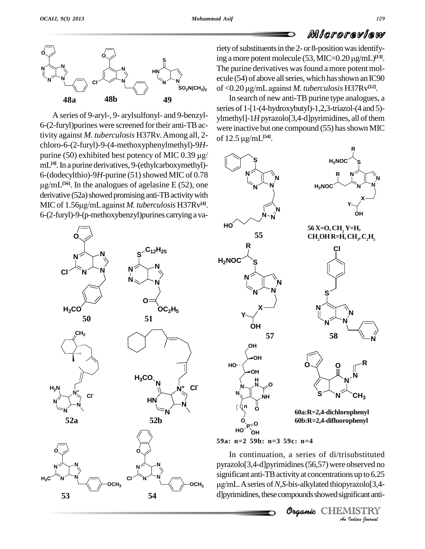

A series of 9-aryl-, 9- arylsulfonyl- and 9-benzyl- 6-(2-furyl)purines were screened fortheir anti-TBactivity against *M. tuberculosis* H37Rv.Among all, 2 chloro-6-(2-furyl)-9-(4-methoxyphenylmethyl)-9*H* tivity against *M. tuberculosis* H37Rv. Among all, 2-<br>chloro-6-(2-furyl)-9-(4-methoxyphenylmethyl)-9*H*-<br>purine (50) exhibited best potency of MIC 0.39  $\mu$ g/ mL<sup>[4]</sup>. In a purine derivatives, 9-(ethylcarboxymethyl)-6-(dodecylthio)-9H-purine (51) showed MIC of 0.78 µg/mL<sup>[56]</sup>. In the analogues of agelasine E (52), one<br>derivative (52a) showed promising anti-TB activity with<br>MIC of 1.56μg/mL against *M. tuberculosis* H37Rv<sup>[4]</sup>.  $derivative (52a) showed promising anti-TB activity with$ MIC of 1.56µg/mL against *M. tuberculosis* H37Rv<sup>[4]</sup>. 6-(2-furyl)-9-(p-methoxybenzyl)purines carryinga va-



riety of substituents in the 2- or 8-position was identify-*WUGT OT SWISW*<br>riety of substituents in the 2- or 8-position was identify-<br>ing a more potent molecule (53, MIC=0.20  $\mu g/mL$ <sup>[13]</sup>. ing a more potent molecule  $(53,$  MIC= $0.20 \mu$ g/mL $)^{[13]}$ . The purine derivatives was found a more potent molecule (54) of above all series, which has shown an IC90<br>of <0.20  $\mu$ g/mL against *M. tuberculosis* H37Rv<sup>(12)</sup>. ecule (54) of above all series, which has shown an IC90 **)2** of <0.20 μg/mL against *M. tuberculosis* H37Rv<sup>[12]</sup>.

In search of new anti-TB purine type analogues, a series of 1-[1-(4-hydroxybutyl)-1,2,3-triazol-(4 and 5) ylmethyl]-1*H* pyrazolo[3,4-d]pyrimidines, all of them<br>were inactive but one compound (55) has shown MIC<br>of 12.5 μg/mL<sup>[54]</sup>. were inactive but one compound (55) has shown MIC of 12.5  $\mu$ g/mL<sup>[54]</sup>.



**59a: n=2 59b: n=3 59c: n=4**

pyrazolo[3,4-d]pyrimidines (56,57) were observed no<br>
significant anti-TB activity at concentrations up to 6.25<br>
µg/mL. A series of *N*, S-bis-alkylated thiopyrazolo[3,4-d]pyrimidines, these compounds showed significant ant In continuation, a series of di/trisubstituted significant anti-TB activity at concentrations up to 6.25 .Aseries of*N*,*S*-bis-alkylated thiopyrazolo[3,4 d]pyrimidines, these compounds showed significant anti-

Organic CHEMIS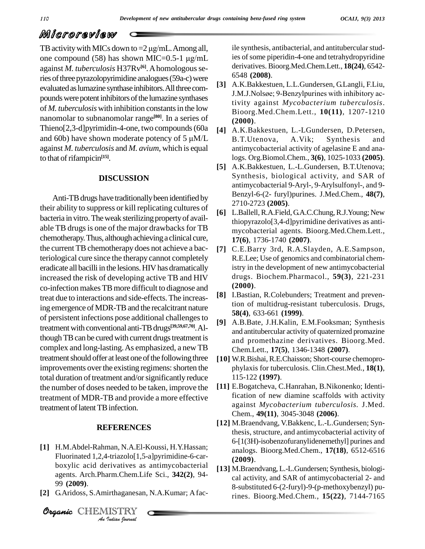TB activity with MICs down to  $=2 \mu g/mL$ . Among all, one compound (58) has shown MIC=0.5-1  $\mu$ g/mL against *M. tuberculosis* H37Rv **[6]**.Ahomologousseries of three pyrazolopyrimidine analogues (59a-c) were evaluated as lumazine synthase inhibitors. All three compounds were potent inhibitors of the lumazine synthases<br>pounds were potent inhibitors of the lumazine synthases<br> $\frac{J.M.J.Nolsøe; 9-Benzyl purines with inhibitory ac$ of *M. tuberculosis* with inhibition constantsin the low nanomolar to subnanomolar range **[80]**. In a series of Thieno[2,3-d]pyrimidin-4-one, two compounds (60a  $\overline{141}$ ) nanomolar to subnanomolar range<sup>[80]</sup>. In a series of (200<br>Thieno[2,3-d]pyrimidin-4-one, two compounds (60a [4] A.K<br>and 60b) have shown moderate potency of 5  $\mu$ M/L B.T. against *M. tuberculosis* and *M. avium*, which isequal to that of rifampicin<sup>[15]</sup>.

#### **DISCUSSION**

Anti-TBdrugs have traditionallybeen identified by their ability to suppress or kill replicating cultures of bacteria in vitro. The weak sterilizing property of available TB drugs is one of the major drawbacks for TB chemotherapy.Thus, althoughachievinga clinical cure, the current TB chemotherapy does not achieve a bacteriological cure since the therapy cannot completely eradicate all bacilli in the lesions. HIV has dramatically increased the risk of developing active TB and HIV co-infection makesTBmore difficult to diagnose and treat due to interactions and side-effects.The increasing emergence ofMDR-TBand the recalcitrant nature of persistent infections pose additional challengesto treatment with conventional anti-TB drugs<sup>[39,59,67,70]</sup>. Although TB can be cured with current drugs treatment is complex and long-lasting.As emphasized, a new TB treatment should offer at least one of the following three improvements over the existing regimens: shorten the total duration of treatment and/or significantly reduce the number of doses needed to be taken, improve the treatment of MDR-TB and provide a more effective treatment of latent TB infection.

#### **REFERENCES**

- **Analytic acid derivatives as antimycobacterial**<br> **Analytic acid derivatives as antimycobacterial**<br> **Analytic CHEMISTRY**<br> **Analytic CHEMISTRY**<br> **Analytic CHEMISTRY** Fluorinated 1,2,4-triazolo[1,5-a]pyrimidine-6-car-<br>hovyliq agid derivatives as antimysobactorial **[1]** H.M.Abdel-Rahman, N.A.El-Koussi, H.Y.Hassan; agents. Arch.Pharm.Chem.Life Sci., **342(2)**, 94- 99 **(2009)**.
- **[2]** G.Aridoss, S.Amirthaganesan, N.A.Kumar; Afac-

Organic CHEMISTRY

ile synthesis, antibacterial, and antitubercular studies of some piperidin-4-one and tetrahydropyridine derivatives. Bioorg.Med.Chem.Lett., **18(24)**, 6542- 6548 **(2008)**.

- **[3]** A.K.Bakkestuen, L.L.Gundersen, G.Langli, F.Liu, 6548 (**2008**).<br>A.K.Bakkestuen, L.L.Gundersen, G.Langli, F.Liu,<br>J.M.J.Nolsøe; 9-Benzylpurines with inhibitory activity against *Mycobacterium tuberculosis*. Bioorg.Med.Chem.Lett., **10(11)**, 1207-1210 **(2000)**.
- **[4]** A.K.Bakkestuen, L.-LGundersen, D.Petersen, B.T.Utenova, A.Vik; Synthesis and antimycobacterial activity of agelasine E and analogs. Org.Biomol.Chem., **3(6)**, 1025-1033 **(2005)**.
- **[5]** A.K.Bakkestuen, L.-L.Gundersen, B.T.Utenova; Synthesis, biological activity, and SAR of antimycobacterial 9-Aryl-, 9-Arylsulfonyl-, and 9- Benzyl-6-(2- furyl)purines. J.Med.Chem., **48(7)**, 2710-2723 **(2005)**.
- **[6]** L.Ballell,R.A.Field, G.A.C.Chung,R.J.Young; New thiopyrazolo[3,4-d]pyrimidine derivatives as anti mycobacterial agents. Bioorg.Med.Chem.Lett., **17(6)**, 1736-1740 **(2007)**.
- **[7]** C.E.Barry 3rd, R.A.Slayden, A.E.Sampson, R.E.Lee; Use of genomics and combinatorial chemistry in the development of new antimycobacterial drugs. Biochem.Pharmacol., **59(3)**, 221-231 **(2000)**.
- **[8]** I.Bastian, R.Colebunders; Treatment and prevention of multidrug-resistant tuberculosis. Drugs, **58(4)**, 633-661 **(1999)**.
- **[9]** A.B.Bate, J.H.Kalin, E.M.Fooksman; Synthesis and antitubercular activity of quaternized promazine and promethazine derivatives. Bioorg.Med. Chem.Lett., **17(5)**, 1346-1348 **(2007)**.
- [10] W.R.Bishai, R.E.Chaisson; Short-course chemoprophylaxis for tuberculosis. Clin.Chest.Med., **18(1)**, 115-122 **(1997)**.
- **[11]** E.Bogatcheva, C.Hanrahan, B.Nikonenko; Identification of new diamine scaffolds with activity against *Mycobacterium tuberculosis.* J.Med. Chem., **49(11)**, 3045-3048 **(2006)**.
- **[12]** M.Braendvang, V.Bakkenc, L.-L.Gundersen; Synthesis, structure, and antimycobacterial activity of 6-[1(3H)-isobenzofuranylidenemethyl] purines and analogs. Bioorg.Med.Chem., **17(18)**, 6512-6516 **(2009)**.
- **[13]** M.Braendvang, L.-L.Gundersen; Synthesis, biologi cal activity, and SAR of antimycobacterial 2- and 8-substituted 6-(2-furyl)-9-(p-methoxybenzyl) purines. Bioorg.Med.Chem., **15(22)**, 7144-7165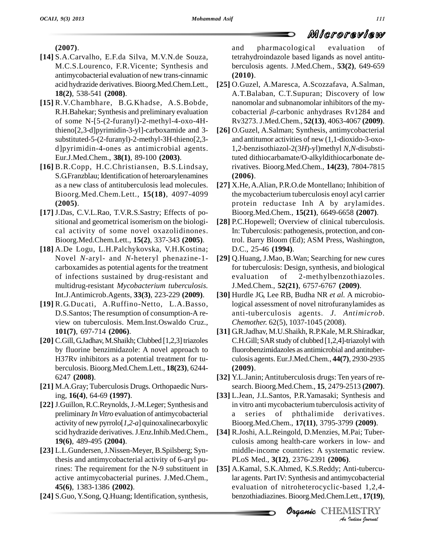**(2007)**.

- **[14]** S.A.Carvalho, E.F.da Silva, M.V.N.de Souza, M.C.S.Lourenco, F.R.Vicente; Synthesis and antimycobacterial evaluation of new trans-cinnamic acid hydrazide derivatives.Bioorg.Med.Chem.Lett., **18(2)**, 538-541 **(2008)**.
- **[15]** R.V.Chambhare, B.G.Khadse, A.S.Bobde, R.H.Bahekar; Synthesis and preliminary evaluation of some N-[5-(2-furanyl)-2-methyl-4-oxo-4Hthieno[2,3-d]pyrimidin-3-yl]-carboxamide and 3 substituted-5-(2-furanyl)-2-methyl-3H-thieno[2,3 d]pyrimidin-4-ones as antimicrobial agents. Eur.J.Med.Chem., **38(1)**, 89-100 **(2003)**.
- **[16]** B.R.Copp, H.C.Christiansen, B.S.Lindsay, S.G.Franzblau; Identification of heteroarylenamines as a new class of antituberculosis lead molecules. Bioorg.Med.Chem.Lett., **15(18)**, 4097-4099 **(2005)**.
- **[17]** J.Das, C.V.L.Rao, T.V.R.S.Sastry; Effects of po sitional and geometrical isomerism on the biologi cal activity of some novel oxazolidinones. Bioorg.Med.Chem.Lett., **15(2)**, 337-343 **(2005)**.
- **[18]** A.De Logu, L.H.Palchykovska, V.H.Kostina; Novel *N*-aryl- and *N*-heteryl phenazine-1 carboxamides as potential agents for the treatment of infections sustained by drug-resistant and multidrug-resistant *Mycobacterium tuberculosis.* Int.J.Antimicrob.Agents, **33(3)**, 223-229 **(2009)**.
- **[19]** R.G.Ducati, A.Ruffino-Netto, L.A.Basso, D.S.Santos; The resumption of consumption-A re view on tuberculosis. Mem.Inst.Oswaldo Cruz., **101(7)**, 697-714 **(2006)**.
- [20] C.Gill, G.Jadhav, M.Shaikh; Clubbed [1,2,3] triazoles by fluorine benzimidazole: A novel approach to H37Rv inhibitors as a potential treatment for tu berculosis. Bioorg.Med.Chem.Lett., **18(23)**, 6244- 6247 **(2008)**.
- **[21]** M.A.Gray; Tuberculosis Drugs. Orthopaedic Nursing, **16(4)**, 64-69 **(1997)**.
- **[22]** J.Guillon,R.C.Reynolds,J.-M.Leger; Synthesis and preliminary *In Vitro* evaluation of antimycobacterial activity of new pyrrolo[*1,2-a*] quinoxalinecarboxylic scid hydrazide derivatives.J.Enz.Inhib.Med.Chem., **19(6)**, 489-495 **(2004)**.
- **[23]** L.L.Gundersen,J.Nissen-Meyer, B.Spilsberg; Synthesis and antimycobacterial activity of 6-aryl purines: The requirement for the N-9 substituent in active antimycobacterial purines. J.Med.Chem., **45(6)**, 1383-1386 **(2002)**.
- [24] S.Guo, Y.Song, Q.Huang; Identification, synthesis,

and pharmacological evaluation of tetrahydroindazole based ligands as novel antitu berculosis agents. J.Med.Chem., **53(2)**, 649-659 **(2010)**.

- **[25]** O.Guzel, A.Maresca, A.Scozzafava, A.Salman, A.T.Balaban, C.T.Supuran; Discovery of low nanomolar and subnanomolar inhibitors of the my cobacterial β-carbonic anhydrases Rv1284 and Rv3273. J.Med.Chem., **52(13)**, 4063-4067 **(2009)**.
- **[26]** O.Guzel, A.Salman; Synthesis, antimycobacterial and antitumor activities of new (1,1-dioxido-3-oxo- 1,2-benzisothiazol-2(3*H*)-yl)methyl *N,N*-disubstituted dithiocarbamate/O-alkyldithiocarbonate derivatives. Bioorg.Med.Chem., **14(23)**, 7804-7815 **(2006)**.
- **[27]** X.He,A.Alian, P.R.O.de Montellano; Inhibition of the mycobacterium tuberculosis enoyl acyl carrier protein reductase Inh A by arylamides. Bioorg.Med.Chem., **15(21)**, 6649-6658 **(2007)**.
- **[28]** P.C.Hopewell; Overview of clinical tuberculosis. In: Tuberculosis: pathogenesis, protection, and control. Barry Bloom (Ed); ASM Press, Washington, D.C., 25-46 **(1994)**.
- **[29]** Q.Huang, J.Mao, B.Wan; Searching for new cures for tuberculosis: Design, synthesis, and biological of 2-methylbenzothiazoles. J.Med.Chem., **52(21)**, 6757-6767 **(2009)**.
- **[30]** Hurdle JG, Lee RB, Budha NR *et al.* A microbiological assessment of novel nitrofuranylamides as anti-tuberculosis agents. *J. Antimicrob. Chemother.* 62(5), 1037-1045 (2008).
- **[31]** G.R.Jadhav, M.U.Shaikh, R.P.Kale, M.R.Shiradkar, C.H.Gill; SAR study of clubbed [1,2,4]-triazolyl with fluorobenzimidazoles as antimicrobial and antituber culosis agents. Eur.J.Med.Chem., **44(7)**, 2930-2935 **(2009)**.
- **[32]** Y.L.Janin;Antituberculosis drugs: Ten years of re search. Bioorg.Med.Chem., **15**, 2479-2513 **(2007)**.
- **[33]** L.Jean, J.L.Santos, P.R.Yamasaki; Synthesis and in vitro anti mycobacterium tuberculosis activity of a series of phthalimide derivatives. Bioorg.Med.Chem., **17(11)**, 3795-3799 **(2009)**.
- **Organic***An*PLoS Med., **3(12)**, 2376-2391 **(2006)**. **[34]** R.Joshi, A.L.Reingold, D.Menzies, M.Pai; Tuber culosis among health-care workers in low- and middle-income countries: A systematic review.
- *Indi*-tubercu-<br>ycobacterial<br>ased 1,2,4-<br>Lett., **17(19),**<br>ALSTRY **[35]** A.Kamal, S.K.Ahmed, K.S.Reddy; Anti-tubercular agents. Part IV: Synthesis and antimycobacterial evaluation of nitroheterocyclic-based 1,2,4 benzothiadiazines.Bioorg.Med.Chem.Lett., **17(19)**,

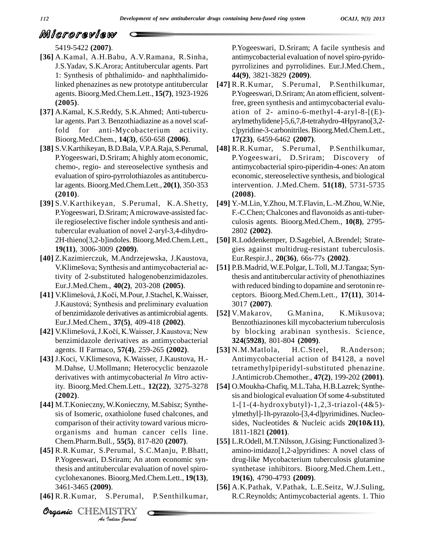5419-5422 **(2007)**.

- **[36]** A.Kamal, A.H.Babu, A.V.Ramana, R.Sinha, J.S.Yadav, S.K.Arora; Antitubercular agents. Part 1: Synthesis of phthalimido- and naphthalimidolinked phenazines as new prototype antitubercular agents. Bioorg.Med.Chem.Lett., **15(7)**, 1923-1926 **(2005)**.
- **[37]** A.Kamal, K.S.Reddy, S.K.Ahmed; Anti-tubercular agents. Part 3. Benzothiadiazine as a novel scaffold for anti-Mycobacterium activity. Bioorg.Med.Chem., **14(3)**, 650-658 **(2006)**.
- **[38]** S.V.Karthikeyan, B.D.Bala, V.P.A.Raja, S.Perumal, P.Yogeeswari, D.Sriram; Ahighly atom economic, chemo-, regio- and stereoselective synthesis and evaluation of spiro-pyrrolothiazoles as antitubercular agents. Bioorg.Med.Chem.Lett., **20(1)**, 350-353 **(2010)**.
- **[39]** S.V.Karthikeyan, S.Perumal, K.A.Shetty, P.Yogeeswari, D.Sriram;Amicrowave-assisted facile regioselective fischer indole synthesis and antitubercular evaluation of novel 2-aryl-3,4-dihydro- 2H-thieno[3,2-b]indoles. Bioorg.Med.Chem.Lett., **19(11)**, 3006-3009 **(2009)**.
- **[40]** Z.Kazimierczuk, M.Andrzejewska, J.Kaustova, **19(11**), 3006-3009 (**2009**).<br>Z.Kazimierczuk, M.Andrzejewska, J.Kaustova,<br>V.Klimešova; Synthesis and antimycobacterial activity of 2-substituted halogenobenzimidazoles. Eur.J.Med.Chem., **40(2)**, 203-208 **(2005)**. tivity of 2-substituted halogenobenzimidazoles.<br>Eur.J.Med.Chem., **40(2)**, 203-208 (**2005**).<br>[41] V.Klimešová, J.Kočí, M.Pour, J.Stachel, K.Waisser,
- Eur.J.Med.Chem., 40(2), 203-208 (2005).<br>V.Klimešová, J.Kočí, M.Pour, J.Stachel, K.Waisser, co<br>J.Kaustová; Synthesis and preliminary evaluation 3 of benzimidazole derivatives as antimicrobial agents. Eur.J.Med.Chem., **37(5)**, 409-418 **(2002)**.
- [42] V.Klimešová, J.Kočí, K.Waisser, J.Kaustova; New benzimidazole derivatives as antimycobacterial agents. II Farmaco, **57(4)**, 259-265 **(2002)**.
- **[43]** J.Koci, V.Klimesova, K.Waisser, J.Kaustova, H.- M.Dahse, U.Mollmann; Heterocyclic benzazole derivatives with antimycobacterial *In Vitro* activity. Bioorg.Med.Chem.Lett., **12(22)**, 3275-3278 **(2002)**.
- **[44]** M.T.Konieczny, W.Konieczny, M.Sabisz; Synthe sis of Isomeric, oxathiolone fused chalcones, and comparison of their activity toward various micro organisms and human cancer cells line. Chem.Pharm.Bull., **55(5)**, 817-820 **(2007)**.
- P.Yogeeswari, D.Sriram; An atom economic syn-*I*Sriram; An a<br>*Bioorg.Med.*<br>*J).<br>S.Perumal,<br>IISTRY<br><i>Indian Iournal* **[45]** R.R.Kumar, S.Perumal, S.C.Manju, P.Bhatt, thesis and antitubercular evaluation of novel spirocyclohexanones. Bioorg.Med.Chem.Lett., **19(13)**, 3461-3465 **(2009)**.
- **[46]** R.R.Kumar, S.Perumal, P.Senthilkumar,

P.Yogeeswari, D.Sriram; A facile synthesis and antimycobacterial evaluation of novelspiro-pyrido pyrrolizines and pyrrolidines. Eur.J.Med.Chem., **44(9)**, 3821-3829 **(2009)**.

- **[47]** R.R.Kumar, S.Perumal, P.Senthilkumar, P. Yogeeswari, D. Sriram; An atom efficient, solventfree, green synthesis and antimycobacterial evalu ation of 2- amino-6-methyl-4-aryl-8-[(E) arylmethylidene]-5,6,7,8-tetrahydro-4Hpyrano[3,2 c]pyridine-3-carbonitriles.Bioorg.Med.Chem.Lett., **17(23)**, 6459-6462 **(2007)**.
- **[48]** R.R.Kumar, S.Perumal, P.Senthilkumar, P.Yogeeswari, D.Sriram; Discovery of antimycobacterial spiro-piperidin-4-ones: An atom economic, stereoselective synthesis, and biological intervention. J.Med.Chem. **51(18)**, 5731-5735 **(2008)**.
- **[49]** Y.-M.Lin,Y.Zhou, M.T.Flavin, L.-M.Zhou, W.Nie, F.-C.Chen; Chalcones and flavonoids as anti-tuber culosis agents. Bioorg.Med.Chem., **10(8)**, 2795- 2802 **(2002)**.
- **[50]** R.Loddenkemper, D.Sagebiel, A.Brendel; Strate gies against multidrug-resistant tuberculosis. Eur.Respir.J., **20(36)**, 66s-77s **(2002)**.
- **[51]** P.B.Madrid, W.E.Polgar, L.Toll, M.J.Tangaa; Synthesis and antitubercular activity of phenothiazines with reduced binding to dopamine and serotonin re ceptors. Bioorg.Med.Chem.Lett., **17(11)**, 3014- 3017 **(2007)**.
- **[52]** V.Makarov, G.Manina, K.Mikusova; Benzothiazinones kill mycobacterium tuberculosis by blocking arabinan synthesis. Science, **324(5928)**, 801-804 **(2009)**.
- **[53]** N.M.Matlola, H.C.Steel, R.Anderson; Antimycobacterial action of B4128, a novel tetramethylpiperidyl-substituted phenazine. J.Antimicrob.Chemother., **47(2)**, 199-202 **(2001)**.
- **[54]** O.Moukha-Chafiq, M.L.Taha, H.B.Lazrek; Synthe sis and biological evaluation Of some 4-substituted 1-[1-(4-hydroxybutyl)-1,2,3-triazol-(4&5) ylmethyl]-1h-pyrazolo-[3,4-d]pyrimidines. Nucleo sides, Nucleotides & Nucleic acids **20(10&11)**, 1811-1821 **(2001)**.
- **[55]** L.R.Odell, M.T.Nilsson,J.Gising; Functionalized 3 amino-imidazo[1,2-a]pyridines: A novel class of drug-like Mycobacterium tuberculosis glutamine synthetase inhibitors. Bioorg.Med.Chem.Lett.*,* **19(16)**, 4790-4793 **(2009)**.
- **[56]** A.K.Pathak, V.Pathak, L.E.Seitz, W.J.Suling, R.C.Reynolds; Antimycobacterial agents. 1. Thio

CHEMISTRY COMMENT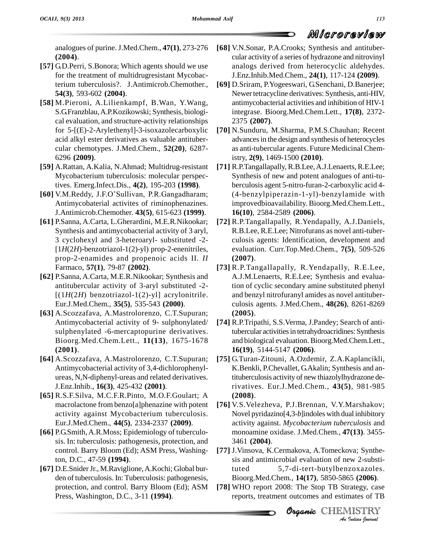analogues of purine.J.Med.Chem., **47(1)**, 273-276 **(2004)**.

- **[57]** G.D.Perri, S.Bonora; Which agents should we use for the treatment of multidrugresistant Mycobacterium tuberculosis?. J.Antimicrob.Chemother., **54(3)**, 593-602 **(2004)**.
- **[58]** M.Pieroni, A.Lilienkampf, B.Wan, Y.Wang, S.G.Franzblau,A.P.Kozikowski; Synthesis, biologi cal evaluation, and structure-activity relationships for 5-[(E)-2-Arylethenyl]-3-isoxazolecarboxylic acid alkyl ester derivatives as valuable antituber cular chemotypes. J.Med.Chem., **52(20)**, 6287- 6296 **(2009)**.
- **[59]** A.Rattan, A.Kalia, N.Ahmad; Multidrug-resistant Mycobacterium tuberculosis: molecular perspectives. Emerg.Infect.Dis., **4(2)**, 195-203 **(1998)**.
- [60] V.M.Reddy, J.F.O'Sullivan, P.R.Gangadharam; Antimycobaterial activites of riminophenazines. J.Antimicrob.Chemother. **43(5)**, 615-623 **(1999)**.
- **[61]** P.Sanna, A.Carta, L.Gherardini, M.E.R*.*Nikookar; Synthesis and antimycobacterial activity of 3 aryl, 3 cyclohexyl and 3-heteroaryl- substituted -2- [1*H*(2*H*)-benzotriazol-1(2)-yl) prop-2-enenitriles, prop-2-enamides and propenoic acids II. *II* Farmaco, **57(1)**, 79-87 **(2002)**.
- **[62]** P.Sanna, A.Carta, M.E.R.Nikookar; Synthesis and antitubercular activity of 3-aryl substituted -2- $[(1H(2H)$  benzotriazol-1(2)-yl] acrylonitrile. Eur.J.Med.Chem., **35(5)**, 535-543 **(2000)**.
- **[63]** A.Scozzafava, A.Mastrolorenzo, C.T.Supuran; Antimycobacterial activity of 9- sulphonylated/ sulphenylated -6-mercaptopurine derivatives. Bioorg.Med.Chem.Lett., **11(13)**, 1675-1678 **(2001)**.
- **[64]** A.Scozzafava, A.Mastrolorenzo, C.T.Supuran; Antimycobacterial activity of 3,4-dichlorophenyl ureas, N,N-diphenyl-ureas and related derivatives. J.Enz.Inhib., **16(3)**, 425-432 **(2001)**.
- **[65]** R.S.F.Silva, M.C.F.R.Pinto, M.O.F.Goulart; A macrolactone from benzo[a]phenazine with potent activity against Mycobacterium tuberculosis. Eur.J.Med.Chem., **44(5)**, 2334-2337 **(2009)**.
- [66] P.G.Smith, A.R.Moss; Epidemiology of tuberculosis. In: tuberculosis: pathogenesis, protection, and control. Barry Bloom (Ed); ASM Press, Washington, D.C., 47-59 **(1994)**.
- [67] D.E.Snider Jr., M.Raviglione, A.Kochi; Global burden of tuberculosis. In: Tuberculosis: pathogenesis, protection, and control. Barry Bloom (Ed); ASM Press, Washington, D.C., 3-11 **(1994)**.
- **[68]** V.N.Sonar, P.A.Crooks; Synthesis and antituber cular activity of a series of hydrazone and nitrovinyl analogs derived from heterocyclic aldehydes. J.Enz.Inhib.Med.Chem., **24(1)**, 117-124 **(2009)**.
- **[69]** D.Sriram, P.Yogeeswari, G.Senchani, D.Banerjee; Newer tetracycline derivatives: Synthesis, anti-HIV, antimycobacterial activities and inhibition of HIV-1 integrase. Bioorg.Med.Chem.Lett., **17(8)**, 2372- 2375 **(2007)**.
- **[70]** N.Sunduru, M.Sharma, P.M.S.Chauhan; Recent advancesin the design and synthesis of heterocycles as anti-tubercular agents. Future Medicinal Chemistry, **2(9)**, 1469-1500 **(2010)**.
- **[71]** R.P.Tangallapally, R.B.Lee,A.J.Lenaerts, R.E.Lee; Synthesis of new and potent analogues of anti-tuberculosis agent 5-nitro-furan-2-carboxylic acid 4- (4-benzylpiperazin-1-yl)-benzylamide with improvedbioavailability. Bioorg.Med.Chem.Lett., **16(10)**, 2584-2589 **(2006)**.
- **[72]** R.P.Tangallapally, R.Yendapally, A.J.Daniels, R.B.Lee, R.E.Lee; Nitrofurans as novel anti-tuber culosis agents: Identification, development and evaluation. Curr.Top.Med.Chem., **7(5)**, 509-526 **(2007)**.
- **[73]** R.P.Tangallapally, R.Yendapally, R.E.Lee, A.J.M.Lenaerts, R.E.Lee; Synthesis and evaluation of cyclic secondary amine substituted phenyl and benzyl nitrofuranyl amides as novel antituber culosis agents. J.Med.Chem., **48(26)**, 8261-8269 **(2005)**.
- **[74]** R.P.Tripathi, S.S.Verma, J.Pandey; Search of antitubercular activities in tetrahydroacridines: Synthesis and biological evaluation. Bioorg.Med.Chem.Lett., **16(19)**, 5144-5147 **(2006)**.
- **[75]** G.Turan-Zitouni, A.Ozdemir, Z.A.Kaplancikli, K.Benkli, P.Chevallet, G.Akalin; Synthesis and antituberculosis activity of new thiazolylhydrazone derivatives. Eur.J.Med.Chem., **43(5)**, 981-985 **(2008)**.
- **[76]** V.S.Velezheva, P.J.Brennan, V.Y.Marshakov; Novel pyridazino[4,3-*b*]indoles with dual inhibitory activity against. *Mycobacterium tuberculosis* and monoamine oxidase. J.Med.Chem., **47(13)**. 3455- 3461 **(2004)**.
- **Organic***An*sis and antimicrobial evaluation of new 2-substi-<sup>2</sup>-substi-<br>20xazoles.<br>55 (**2006**).<br>rategy, case<br>mates of TB<br><u>MISTRY</u> **[77]** J.Vinsova, K.Cermakova, A.Tomeckova; Synthe tuted 5,7-di-tert-butylbenzoxazoles. Bioorg.Med.Chem., **14(17)**, 5850-5865 **(2006)**.
- **[78]** WHO report 2008: The Stop TB Strategy, case reports, treatment outcomes and estimates of TB